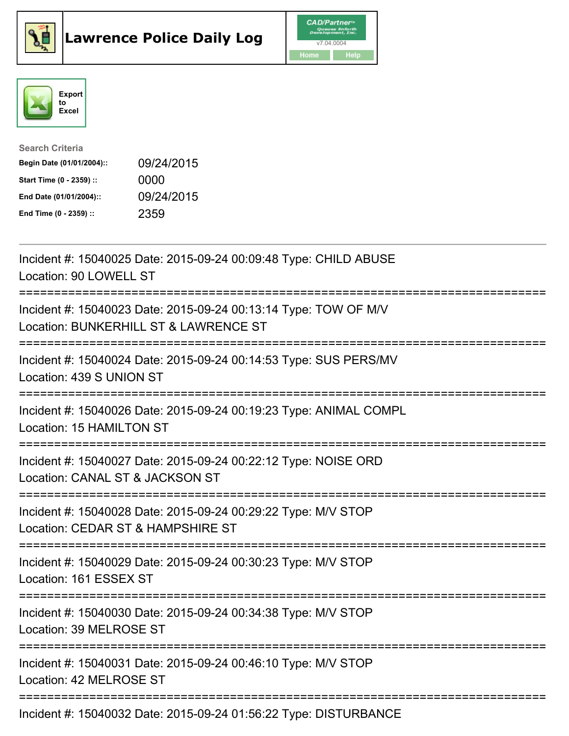





| <b>Search Criteria</b>    |            |
|---------------------------|------------|
| Begin Date (01/01/2004):: | 09/24/2015 |
| Start Time (0 - 2359) ::  | 0000       |
| End Date (01/01/2004)::   | 09/24/2015 |
| End Time (0 - 2359) ::    | 2359       |

| Incident #: 15040025 Date: 2015-09-24 00:09:48 Type: CHILD ABUSE<br>Location: 90 LOWELL ST                                                          |
|-----------------------------------------------------------------------------------------------------------------------------------------------------|
| Incident #: 15040023 Date: 2015-09-24 00:13:14 Type: TOW OF M/V<br>Location: BUNKERHILL ST & LAWRENCE ST                                            |
| Incident #: 15040024 Date: 2015-09-24 00:14:53 Type: SUS PERS/MV<br>Location: 439 S UNION ST                                                        |
| Incident #: 15040026 Date: 2015-09-24 00:19:23 Type: ANIMAL COMPL<br>Location: 15 HAMILTON ST<br>========================                           |
| Incident #: 15040027 Date: 2015-09-24 00:22:12 Type: NOISE ORD<br>Location: CANAL ST & JACKSON ST<br>==========================<br>---------------- |
| Incident #: 15040028 Date: 2015-09-24 00:29:22 Type: M/V STOP<br>Location: CEDAR ST & HAMPSHIRE ST                                                  |
| Incident #: 15040029 Date: 2015-09-24 00:30:23 Type: M/V STOP<br>Location: 161 ESSEX ST                                                             |
| Incident #: 15040030 Date: 2015-09-24 00:34:38 Type: M/V STOP<br>Location: 39 MELROSE ST                                                            |
| Incident #: 15040031 Date: 2015-09-24 00:46:10 Type: M/V STOP<br>Location: 42 MELROSE ST                                                            |
| Incident #: 15040032 Date: 2015-09-24 01:56:22 Type: DISTURBANCE                                                                                    |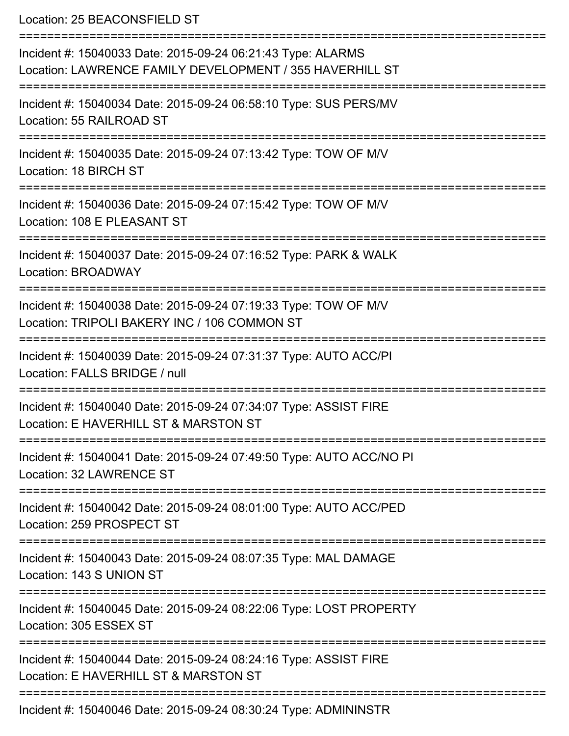Location: 25 BEACONSFIELD ST

| Incident #: 15040033 Date: 2015-09-24 06:21:43 Type: ALARMS<br>Location: LAWRENCE FAMILY DEVELOPMENT / 355 HAVERHILL ST |
|-------------------------------------------------------------------------------------------------------------------------|
| Incident #: 15040034 Date: 2015-09-24 06:58:10 Type: SUS PERS/MV<br>Location: 55 RAILROAD ST                            |
| Incident #: 15040035 Date: 2015-09-24 07:13:42 Type: TOW OF M/V<br><b>Location: 18 BIRCH ST</b>                         |
| Incident #: 15040036 Date: 2015-09-24 07:15:42 Type: TOW OF M/V<br>Location: 108 E PLEASANT ST                          |
| Incident #: 15040037 Date: 2015-09-24 07:16:52 Type: PARK & WALK<br><b>Location: BROADWAY</b>                           |
| Incident #: 15040038 Date: 2015-09-24 07:19:33 Type: TOW OF M/V<br>Location: TRIPOLI BAKERY INC / 106 COMMON ST         |
| Incident #: 15040039 Date: 2015-09-24 07:31:37 Type: AUTO ACC/PI<br>Location: FALLS BRIDGE / null                       |
| Incident #: 15040040 Date: 2015-09-24 07:34:07 Type: ASSIST FIRE<br>Location: E HAVERHILL ST & MARSTON ST               |
| Incident #: 15040041 Date: 2015-09-24 07:49:50 Type: AUTO ACC/NO PI<br>Location: 32 LAWRENCE ST                         |
| Incident #: 15040042 Date: 2015-09-24 08:01:00 Type: AUTO ACC/PED<br>Location: 259 PROSPECT ST<br>--------------------- |
| Incident #: 15040043 Date: 2015-09-24 08:07:35 Type: MAL DAMAGE<br>Location: 143 S UNION ST                             |
| Incident #: 15040045 Date: 2015-09-24 08:22:06 Type: LOST PROPERTY<br>Location: 305 ESSEX ST                            |
| Incident #: 15040044 Date: 2015-09-24 08:24:16 Type: ASSIST FIRE<br>Location: E HAVERHILL ST & MARSTON ST               |
| Incident #: 15040046 Date: 2015-09-24 08:30:24 Type: ADMININSTR                                                         |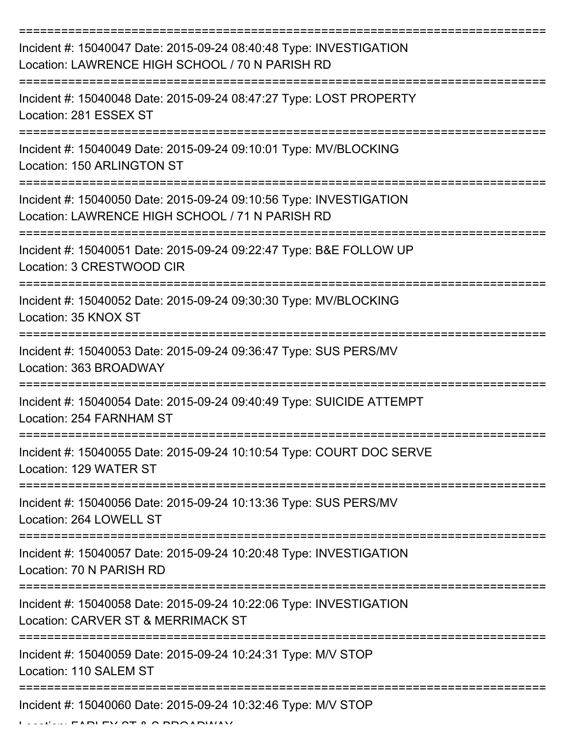| Incident #: 15040047 Date: 2015-09-24 08:40:48 Type: INVESTIGATION<br>Location: LAWRENCE HIGH SCHOOL / 70 N PARISH RD |
|-----------------------------------------------------------------------------------------------------------------------|
| Incident #: 15040048 Date: 2015-09-24 08:47:27 Type: LOST PROPERTY<br>Location: 281 ESSEX ST                          |
| Incident #: 15040049 Date: 2015-09-24 09:10:01 Type: MV/BLOCKING<br>Location: 150 ARLINGTON ST                        |
| Incident #: 15040050 Date: 2015-09-24 09:10:56 Type: INVESTIGATION<br>Location: LAWRENCE HIGH SCHOOL / 71 N PARISH RD |
| Incident #: 15040051 Date: 2015-09-24 09:22:47 Type: B&E FOLLOW UP<br>Location: 3 CRESTWOOD CIR                       |
| Incident #: 15040052 Date: 2015-09-24 09:30:30 Type: MV/BLOCKING<br>Location: 35 KNOX ST                              |
| Incident #: 15040053 Date: 2015-09-24 09:36:47 Type: SUS PERS/MV<br>Location: 363 BROADWAY                            |
| Incident #: 15040054 Date: 2015-09-24 09:40:49 Type: SUICIDE ATTEMPT<br>Location: 254 FARNHAM ST                      |
| Incident #: 15040055 Date: 2015-09-24 10:10:54 Type: COURT DOC SERVE<br>Location: 129 WATER ST                        |
| Incident #: 15040056 Date: 2015-09-24 10:13:36 Type: SUS PERS/MV<br>Location: 264 LOWELL ST                           |
| Incident #: 15040057 Date: 2015-09-24 10:20:48 Type: INVESTIGATION<br>Location: 70 N PARISH RD                        |
| Incident #: 15040058 Date: 2015-09-24 10:22:06 Type: INVESTIGATION<br>Location: CARVER ST & MERRIMACK ST              |
| Incident #: 15040059 Date: 2015-09-24 10:24:31 Type: M/V STOP<br>Location: 110 SALEM ST                               |
| Incident #: 15040060 Date: 2015-09-24 10:32:46 Type: M/V STOP<br><b>FIDITY OT A O DOOIDIII</b>                        |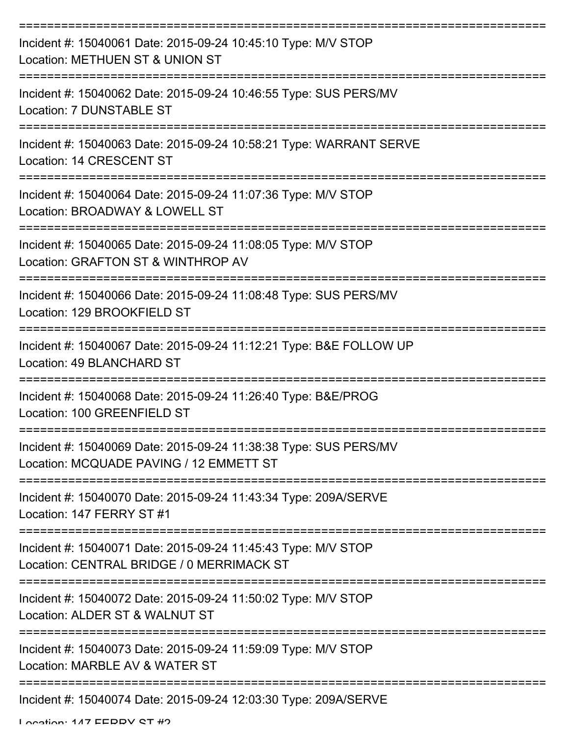| Incident #: 15040061 Date: 2015-09-24 10:45:10 Type: M/V STOP<br>Location: METHUEN ST & UNION ST            |
|-------------------------------------------------------------------------------------------------------------|
| Incident #: 15040062 Date: 2015-09-24 10:46:55 Type: SUS PERS/MV<br>Location: 7 DUNSTABLE ST                |
| Incident #: 15040063 Date: 2015-09-24 10:58:21 Type: WARRANT SERVE<br>Location: 14 CRESCENT ST              |
| Incident #: 15040064 Date: 2015-09-24 11:07:36 Type: M/V STOP<br>Location: BROADWAY & LOWELL ST             |
| Incident #: 15040065 Date: 2015-09-24 11:08:05 Type: M/V STOP<br>Location: GRAFTON ST & WINTHROP AV         |
| Incident #: 15040066 Date: 2015-09-24 11:08:48 Type: SUS PERS/MV<br>Location: 129 BROOKFIELD ST             |
| Incident #: 15040067 Date: 2015-09-24 11:12:21 Type: B&E FOLLOW UP<br>Location: 49 BLANCHARD ST             |
| Incident #: 15040068 Date: 2015-09-24 11:26:40 Type: B&E/PROG<br>Location: 100 GREENFIELD ST                |
| Incident #: 15040069 Date: 2015-09-24 11:38:38 Type: SUS PERS/MV<br>Location: MCQUADE PAVING / 12 EMMETT ST |
| Incident #: 15040070 Date: 2015-09-24 11:43:34 Type: 209A/SERVE<br>Location: 147 FERRY ST #1                |
| Incident #: 15040071 Date: 2015-09-24 11:45:43 Type: M/V STOP<br>Location: CENTRAL BRIDGE / 0 MERRIMACK ST  |
| Incident #: 15040072 Date: 2015-09-24 11:50:02 Type: M/V STOP<br>Location: ALDER ST & WALNUT ST             |
| Incident #: 15040073 Date: 2015-09-24 11:59:09 Type: M/V STOP<br>Location: MARBLE AV & WATER ST             |
| Incident #: 15040074 Date: 2015-09-24 12:03:30 Type: 209A/SERVE                                             |

Location: 147 EEDDV CT #2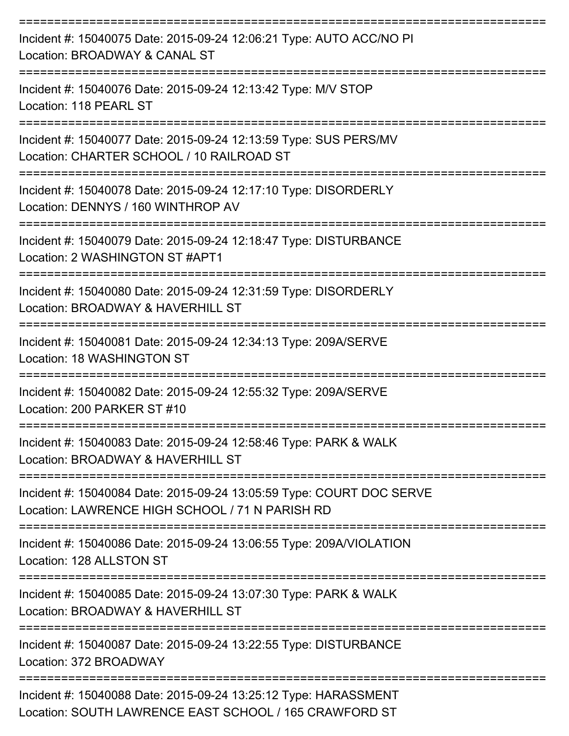| Incident #: 15040075 Date: 2015-09-24 12:06:21 Type: AUTO ACC/NO PI<br>Location: BROADWAY & CANAL ST                                          |
|-----------------------------------------------------------------------------------------------------------------------------------------------|
| Incident #: 15040076 Date: 2015-09-24 12:13:42 Type: M/V STOP<br>Location: 118 PEARL ST                                                       |
| Incident #: 15040077 Date: 2015-09-24 12:13:59 Type: SUS PERS/MV<br>Location: CHARTER SCHOOL / 10 RAILROAD ST<br>============================ |
| Incident #: 15040078 Date: 2015-09-24 12:17:10 Type: DISORDERLY<br>Location: DENNYS / 160 WINTHROP AV                                         |
| Incident #: 15040079 Date: 2015-09-24 12:18:47 Type: DISTURBANCE<br>Location: 2 WASHINGTON ST #APT1                                           |
| Incident #: 15040080 Date: 2015-09-24 12:31:59 Type: DISORDERLY<br>Location: BROADWAY & HAVERHILL ST                                          |
| Incident #: 15040081 Date: 2015-09-24 12:34:13 Type: 209A/SERVE<br>Location: 18 WASHINGTON ST                                                 |
| Incident #: 15040082 Date: 2015-09-24 12:55:32 Type: 209A/SERVE<br>Location: 200 PARKER ST #10                                                |
| Incident #: 15040083 Date: 2015-09-24 12:58:46 Type: PARK & WALK<br>Location: BROADWAY & HAVERHILL ST                                         |
| Incident #: 15040084 Date: 2015-09-24 13:05:59 Type: COURT DOC SERVE<br>Location: LAWRENCE HIGH SCHOOL / 71 N PARISH RD                       |
| Incident #: 15040086 Date: 2015-09-24 13:06:55 Type: 209A/VIOLATION<br>Location: 128 ALLSTON ST                                               |
| Incident #: 15040085 Date: 2015-09-24 13:07:30 Type: PARK & WALK<br>Location: BROADWAY & HAVERHILL ST                                         |
| Incident #: 15040087 Date: 2015-09-24 13:22:55 Type: DISTURBANCE<br>Location: 372 BROADWAY                                                    |
| Incident #: 15040088 Date: 2015-09-24 13:25:12 Type: HARASSMENT<br>Location: SOUTH LAWRENCE EAST SCHOOL / 165 CRAWFORD ST                     |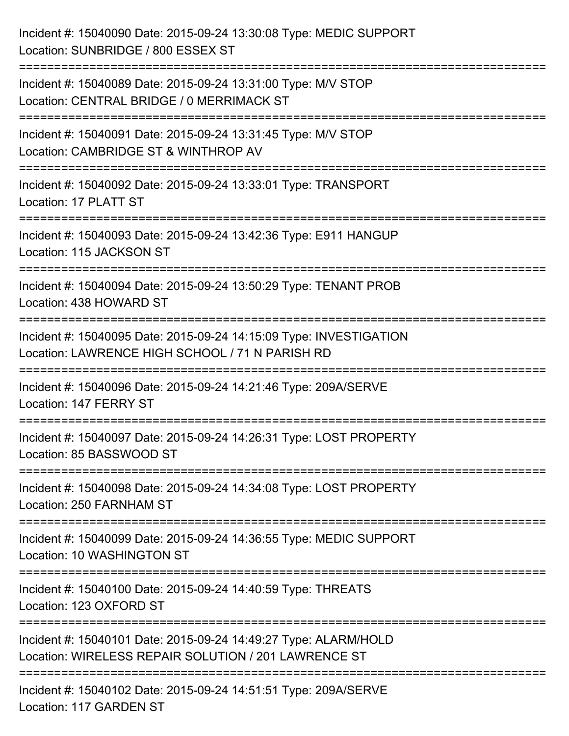| Incident #: 15040090 Date: 2015-09-24 13:30:08 Type: MEDIC SUPPORT<br>Location: SUNBRIDGE / 800 ESSEX ST                                                  |
|-----------------------------------------------------------------------------------------------------------------------------------------------------------|
| Incident #: 15040089 Date: 2015-09-24 13:31:00 Type: M/V STOP<br>Location: CENTRAL BRIDGE / 0 MERRIMACK ST                                                |
| Incident #: 15040091 Date: 2015-09-24 13:31:45 Type: M/V STOP<br>Location: CAMBRIDGE ST & WINTHROP AV                                                     |
| Incident #: 15040092 Date: 2015-09-24 13:33:01 Type: TRANSPORT<br>Location: 17 PLATT ST                                                                   |
| Incident #: 15040093 Date: 2015-09-24 13:42:36 Type: E911 HANGUP<br>Location: 115 JACKSON ST<br>==================================<br>------------------- |
| Incident #: 15040094 Date: 2015-09-24 13:50:29 Type: TENANT PROB<br>Location: 438 HOWARD ST                                                               |
| Incident #: 15040095 Date: 2015-09-24 14:15:09 Type: INVESTIGATION<br>Location: LAWRENCE HIGH SCHOOL / 71 N PARISH RD                                     |
| Incident #: 15040096 Date: 2015-09-24 14:21:46 Type: 209A/SERVE<br>Location: 147 FERRY ST                                                                 |
| Incident #: 15040097 Date: 2015-09-24 14:26:31 Type: LOST PROPERTY<br>Location: 85 BASSWOOD ST                                                            |
| Incident #: 15040098 Date: 2015-09-24 14:34:08 Type: LOST PROPERTY<br>Location: 250 FARNHAM ST                                                            |
| Incident #: 15040099 Date: 2015-09-24 14:36:55 Type: MEDIC SUPPORT<br>Location: 10 WASHINGTON ST                                                          |
| Incident #: 15040100 Date: 2015-09-24 14:40:59 Type: THREATS<br>Location: 123 OXFORD ST                                                                   |
| Incident #: 15040101 Date: 2015-09-24 14:49:27 Type: ALARM/HOLD<br>Location: WIRELESS REPAIR SOLUTION / 201 LAWRENCE ST                                   |
| --------------------------<br>Incident #: 15040102 Date: 2015-09-24 14:51:51 Type: 209A/SERVE<br>Location: 117 GARDEN ST                                  |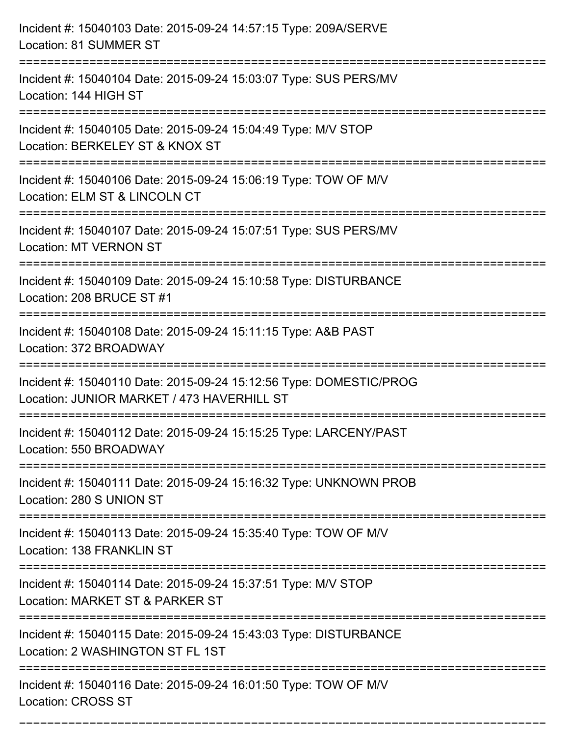| Incident #: 15040103 Date: 2015-09-24 14:57:15 Type: 209A/SERVE<br>Location: 81 SUMMER ST                                              |
|----------------------------------------------------------------------------------------------------------------------------------------|
| Incident #: 15040104 Date: 2015-09-24 15:03:07 Type: SUS PERS/MV<br>Location: 144 HIGH ST                                              |
| Incident #: 15040105 Date: 2015-09-24 15:04:49 Type: M/V STOP<br>Location: BERKELEY ST & KNOX ST<br>==========================         |
| Incident #: 15040106 Date: 2015-09-24 15:06:19 Type: TOW OF M/V<br>Location: ELM ST & LINCOLN CT                                       |
| Incident #: 15040107 Date: 2015-09-24 15:07:51 Type: SUS PERS/MV<br><b>Location: MT VERNON ST</b>                                      |
| Incident #: 15040109 Date: 2015-09-24 15:10:58 Type: DISTURBANCE<br>Location: 208 BRUCE ST #1<br>===================================== |
| Incident #: 15040108 Date: 2015-09-24 15:11:15 Type: A&B PAST<br>Location: 372 BROADWAY<br>--------------------                        |
| Incident #: 15040110 Date: 2015-09-24 15:12:56 Type: DOMESTIC/PROG<br>Location: JUNIOR MARKET / 473 HAVERHILL ST                       |
| Incident #: 15040112 Date: 2015-09-24 15:15:25 Type: LARCENY/PAST<br>Location: 550 BROADWAY                                            |
| Incident #: 15040111 Date: 2015-09-24 15:16:32 Type: UNKNOWN PROB<br>Location: 280 S UNION ST                                          |
| Incident #: 15040113 Date: 2015-09-24 15:35:40 Type: TOW OF M/V<br>Location: 138 FRANKLIN ST                                           |
| Incident #: 15040114 Date: 2015-09-24 15:37:51 Type: M/V STOP<br>Location: MARKET ST & PARKER ST                                       |
| Incident #: 15040115 Date: 2015-09-24 15:43:03 Type: DISTURBANCE<br>Location: 2 WASHINGTON ST FL 1ST                                   |
| Incident #: 15040116 Date: 2015-09-24 16:01:50 Type: TOW OF M/V<br><b>Location: CROSS ST</b>                                           |

===========================================================================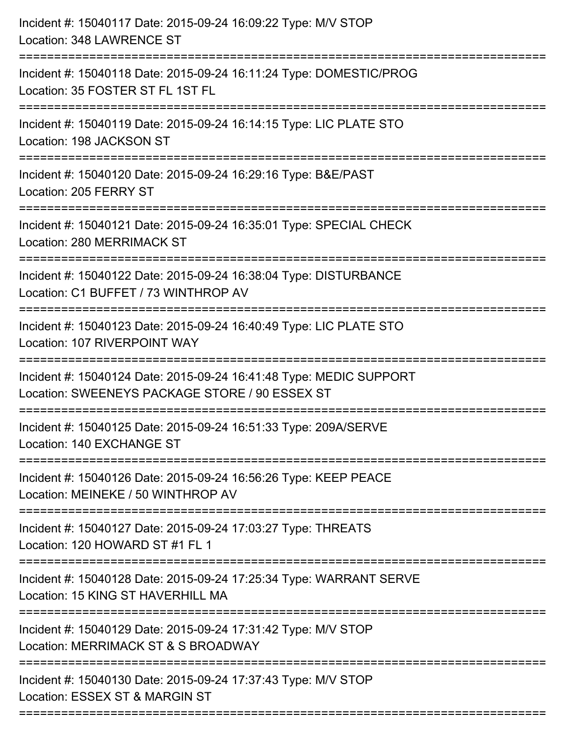| Incident #: 15040117 Date: 2015-09-24 16:09:22 Type: M/V STOP<br>Location: 348 LAWRENCE ST<br>============================               |
|------------------------------------------------------------------------------------------------------------------------------------------|
| Incident #: 15040118 Date: 2015-09-24 16:11:24 Type: DOMESTIC/PROG<br>Location: 35 FOSTER ST FL 1ST FL                                   |
| Incident #: 15040119 Date: 2015-09-24 16:14:15 Type: LIC PLATE STO<br>Location: 198 JACKSON ST<br>==========================             |
| Incident #: 15040120 Date: 2015-09-24 16:29:16 Type: B&E/PAST<br>Location: 205 FERRY ST                                                  |
| Incident #: 15040121 Date: 2015-09-24 16:35:01 Type: SPECIAL CHECK<br>Location: 280 MERRIMACK ST                                         |
| Incident #: 15040122 Date: 2015-09-24 16:38:04 Type: DISTURBANCE<br>Location: C1 BUFFET / 73 WINTHROP AV<br>:=====================       |
| Incident #: 15040123 Date: 2015-09-24 16:40:49 Type: LIC PLATE STO<br>Location: 107 RIVERPOINT WAY<br>================================== |
| Incident #: 15040124 Date: 2015-09-24 16:41:48 Type: MEDIC SUPPORT<br>Location: SWEENEYS PACKAGE STORE / 90 ESSEX ST                     |
| Incident #: 15040125 Date: 2015-09-24 16:51:33 Type: 209A/SERVE<br>Location: 140 EXCHANGE ST                                             |
| Incident #: 15040126 Date: 2015-09-24 16:56:26 Type: KEEP PEACE<br>Location: MEINEKE / 50 WINTHROP AV                                    |
| Incident #: 15040127 Date: 2015-09-24 17:03:27 Type: THREATS<br>Location: 120 HOWARD ST #1 FL 1                                          |
| Incident #: 15040128 Date: 2015-09-24 17:25:34 Type: WARRANT SERVE<br>Location: 15 KING ST HAVERHILL MA                                  |
| Incident #: 15040129 Date: 2015-09-24 17:31:42 Type: M/V STOP<br>Location: MERRIMACK ST & S BROADWAY                                     |
| Incident #: 15040130 Date: 2015-09-24 17:37:43 Type: M/V STOP<br>Location: ESSEX ST & MARGIN ST                                          |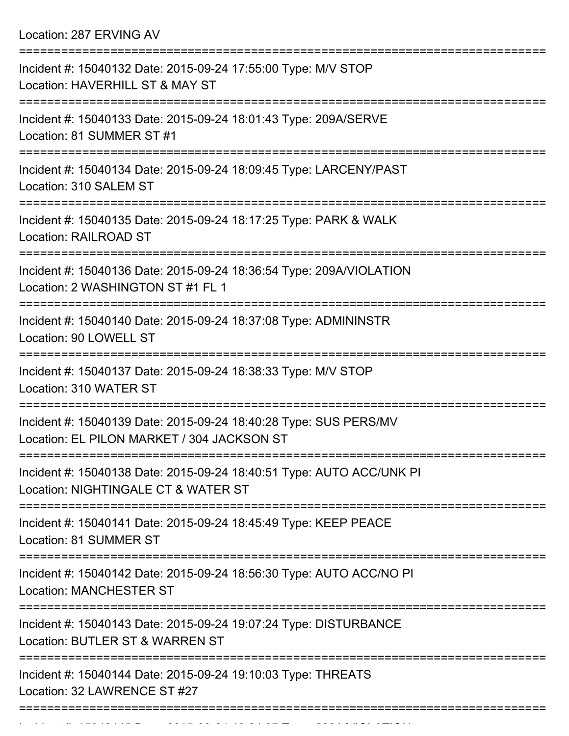Location: 287 ERVING AV

| Incident #: 15040132 Date: 2015-09-24 17:55:00 Type: M/V STOP<br>Location: HAVERHILL ST & MAY ST               |
|----------------------------------------------------------------------------------------------------------------|
| Incident #: 15040133 Date: 2015-09-24 18:01:43 Type: 209A/SERVE<br>Location: 81 SUMMER ST #1                   |
| Incident #: 15040134 Date: 2015-09-24 18:09:45 Type: LARCENY/PAST<br>Location: 310 SALEM ST                    |
| Incident #: 15040135 Date: 2015-09-24 18:17:25 Type: PARK & WALK<br><b>Location: RAILROAD ST</b>               |
| Incident #: 15040136 Date: 2015-09-24 18:36:54 Type: 209A/VIOLATION<br>Location: 2 WASHINGTON ST #1 FL 1       |
| =================<br>Incident #: 15040140 Date: 2015-09-24 18:37:08 Type: ADMININSTR<br>Location: 90 LOWELL ST |
| Incident #: 15040137 Date: 2015-09-24 18:38:33 Type: M/V STOP<br>Location: 310 WATER ST                        |
| Incident #: 15040139 Date: 2015-09-24 18:40:28 Type: SUS PERS/MV<br>Location: EL PILON MARKET / 304 JACKSON ST |
| Incident #: 15040138 Date: 2015-09-24 18:40:51 Type: AUTO ACC/UNK PI<br>Location: NIGHTINGALE CT & WATER ST    |
| Incident #: 15040141 Date: 2015-09-24 18:45:49 Type: KEEP PEACE<br>Location: 81 SUMMER ST                      |
| Incident #: 15040142 Date: 2015-09-24 18:56:30 Type: AUTO ACC/NO PI<br><b>Location: MANCHESTER ST</b>          |
| Incident #: 15040143 Date: 2015-09-24 19:07:24 Type: DISTURBANCE<br>Location: BUTLER ST & WARREN ST            |
| Incident #: 15040144 Date: 2015-09-24 19:10:03 Type: THREATS<br>Location: 32 LAWRENCE ST #27                   |
|                                                                                                                |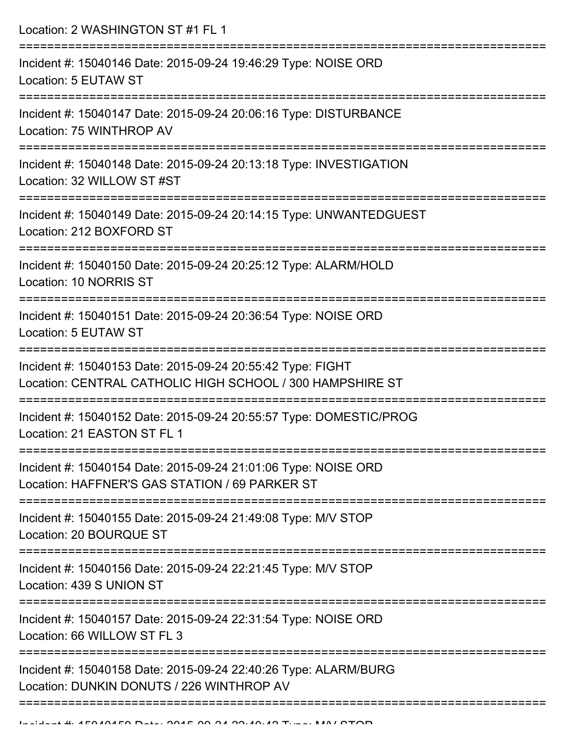Location: 2 WASHINGTON ST #1 FL 1 =========================================================================== Incident #: 15040146 Date: 2015-09-24 19:46:29 Type: NOISE ORD Location: 5 EUTAW ST =========================================================================== Incident #: 15040147 Date: 2015-09-24 20:06:16 Type: DISTURBANCE Location: 75 WINTHROP AV =========================================================================== Incident #: 15040148 Date: 2015-09-24 20:13:18 Type: INVESTIGATION Location: 32 WILLOW ST #ST =========================================================================== Incident #: 15040149 Date: 2015-09-24 20:14:15 Type: UNWANTEDGUEST Location: 212 BOXFORD ST =========================================================================== Incident #: 15040150 Date: 2015-09-24 20:25:12 Type: ALARM/HOLD Location: 10 NORRIS ST =========================================================================== Incident #: 15040151 Date: 2015-09-24 20:36:54 Type: NOISE ORD Location: 5 EUTAW ST =========================================================================== Incident #: 15040153 Date: 2015-09-24 20:55:42 Type: FIGHT Location: CENTRAL CATHOLIC HIGH SCHOOL / 300 HAMPSHIRE ST =========================================================================== Incident #: 15040152 Date: 2015-09-24 20:55:57 Type: DOMESTIC/PROG Location: 21 EASTON ST FL 1 =========================================================================== Incident #: 15040154 Date: 2015-09-24 21:01:06 Type: NOISE ORD Location: HAFFNER'S GAS STATION / 69 PARKER ST =========================================================================== Incident #: 15040155 Date: 2015-09-24 21:49:08 Type: M/V STOP Location: 20 BOURQUE ST =========================================================================== Incident #: 15040156 Date: 2015-09-24 22:21:45 Type: M/V STOP Location: 439 S UNION ST =========================================================================== Incident #: 15040157 Date: 2015-09-24 22:31:54 Type: NOISE ORD Location: 66 WILLOW ST FL 3 =========================================================================== Incident #: 15040158 Date: 2015-09-24 22:40:26 Type: ALARM/BURG Location: DUNKIN DONUTS / 226 WINTHROP AV ===========================================================================